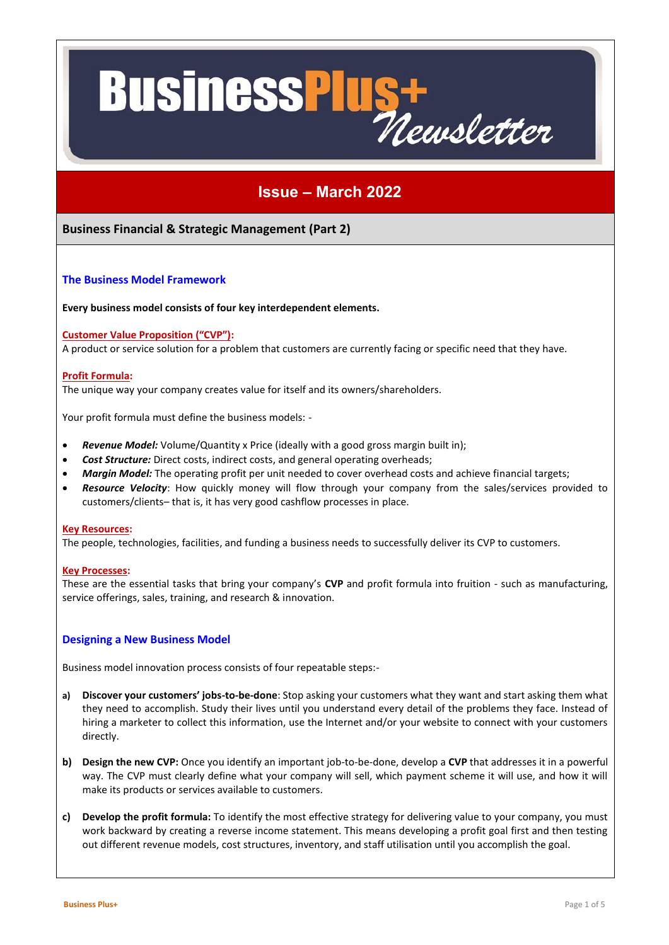# **Business<sup>P</sup>** WST

# **Issue – March 2022**

# **Business Financial & Strategic Management (Part 2)**

### **The Business Model Framework**

**Every business model consists of four key interdependent elements.**

#### **Customer Value Proposition ("CVP"):**

A product or service solution for a problem that customers are currently facing or specific need that they have.

#### **Profit Formula:**

The unique way your company creates value for itself and its owners/shareholders.

Your profit formula must define the business models: -

- *Revenue Model:* Volume/Quantity x Price (ideally with a good gross margin built in);
- *Cost Structure:* Direct costs, indirect costs, and general operating overheads;
- *Margin Model:* The operating profit per unit needed to cover overhead costs and achieve financial targets;
- *Resource Velocity*: How quickly money will flow through your company from the sales/services provided to customers/clients– that is, it has very good cashflow processes in place.

#### **Key Resources:**

The people, technologies, facilities, and funding a business needs to successfully deliver its CVP to customers.

#### **Key Processes:**

These are the essential tasks that bring your company's **CVP** and profit formula into fruition - such as manufacturing, service offerings, sales, training, and research & innovation.

#### **Designing a New Business Model**

Business model innovation process consists of four repeatable steps:-

- **a) Discover your customers' jobs-to-be-done**: Stop asking your customers what they want and start asking them what they need to accomplish. Study their lives until you understand every detail of the problems they face. Instead of hiring a marketer to collect this information, use the Internet and/or your website to connect with your customers directly.
- **b) Design the new CVP:** Once you identify an important job-to-be-done, develop a **CVP** that addresses it in a powerful way. The CVP must clearly define what your company will sell, which payment scheme it will use, and how it will make its products or services available to customers.
- **c) Develop the profit formula:** To identify the most effective strategy for delivering value to your company, you must work backward by creating a reverse income statement. This means developing a profit goal first and then testing out different revenue models, cost structures, inventory, and staff utilisation until you accomplish the goal.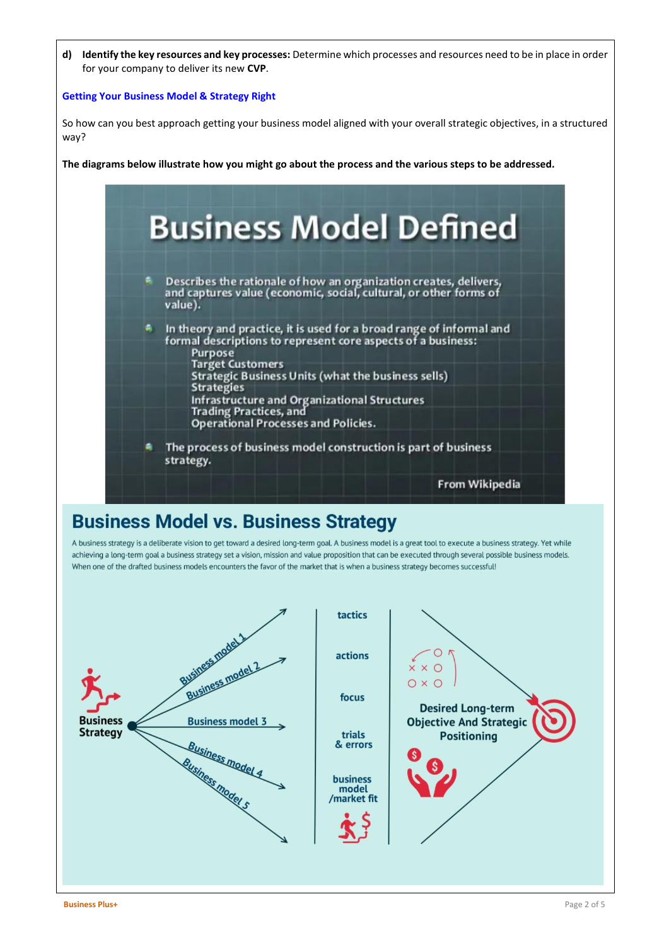**d) Identify the key resources and key processes:** Determine which processes and resources need to be in place in order for your company to deliver its new **CVP**.

### **Getting Your Business Model & Strategy Right**

So how can you best approach getting your business model aligned with your overall strategic objectives, in a structured way?

**The diagrams below illustrate how you might go about the process and the various steps to be addressed.**



# **Business Model vs. Business Strategy**

A business strategy is a deliberate vision to get toward a desired long-term goal. A business model is a great tool to execute a business strategy. Yet while achieving a long-term goal a business strategy set a vision, mission and value proposition that can be executed through several possible business models. When one of the drafted business models encounters the favor of the market that is when a business strategy becomes successfull

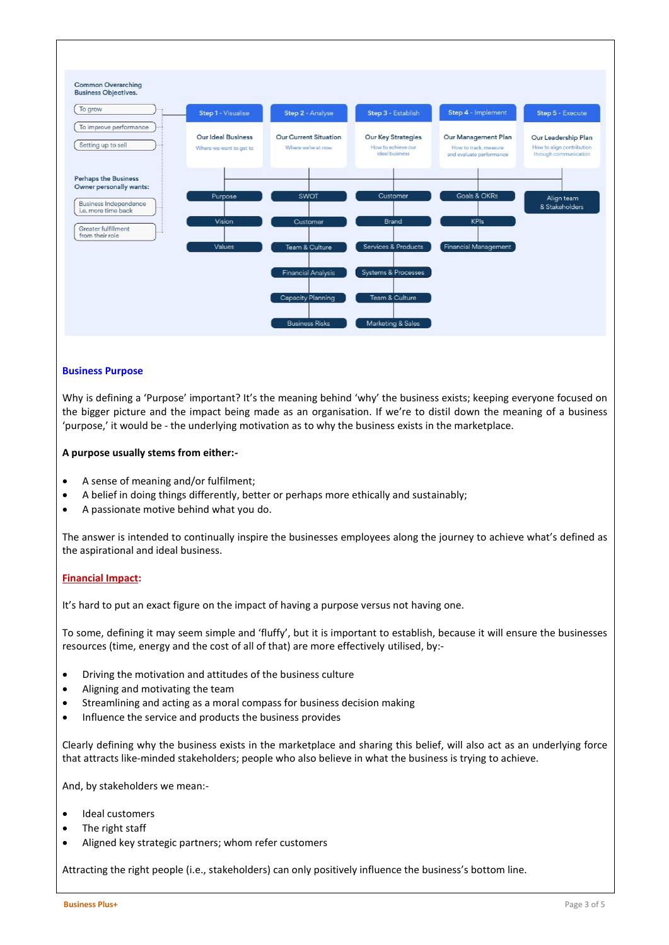

#### **Business Purpose**

Why is defining a 'Purpose' important? It's the meaning behind 'why' the business exists; keeping everyone focused on the bigger picture and the impact being made as an organisation. If we're to distil down the meaning of a business 'purpose,' it would be - the underlying motivation as to why the business exists in the marketplace.

#### **A purpose usually stems from either:-**

- A sense of meaning and/or fulfilment;
- A belief in doing things differently, better or perhaps more ethically and sustainably;
- A passionate motive behind what you do.

The answer is intended to continually inspire the businesses employees along the journey to achieve what's defined as the aspirational and ideal business.

#### **Financial Impact:**

It's hard to put an exact figure on the impact of having a purpose versus not having one.

To some, defining it may seem simple and 'fluffy', but it is important to establish, because it will ensure the businesses resources (time, energy and the cost of all of that) are more effectively utilised, by:-

- Driving the motivation and attitudes of the business culture
- Aligning and motivating the team
- Streamlining and acting as a moral compass for business decision making
- Influence the service and products the business provides

Clearly defining why the business exists in the marketplace and sharing this belief, will also act as an underlying force that attracts like-minded stakeholders; people who also believe in what the business is trying to achieve.

And, by stakeholders we mean:-

- Ideal customers
- The right staff
- Aligned key strategic partners; whom refer customers

Attracting the right people (i.e., stakeholders) can only positively influence the business's bottom line.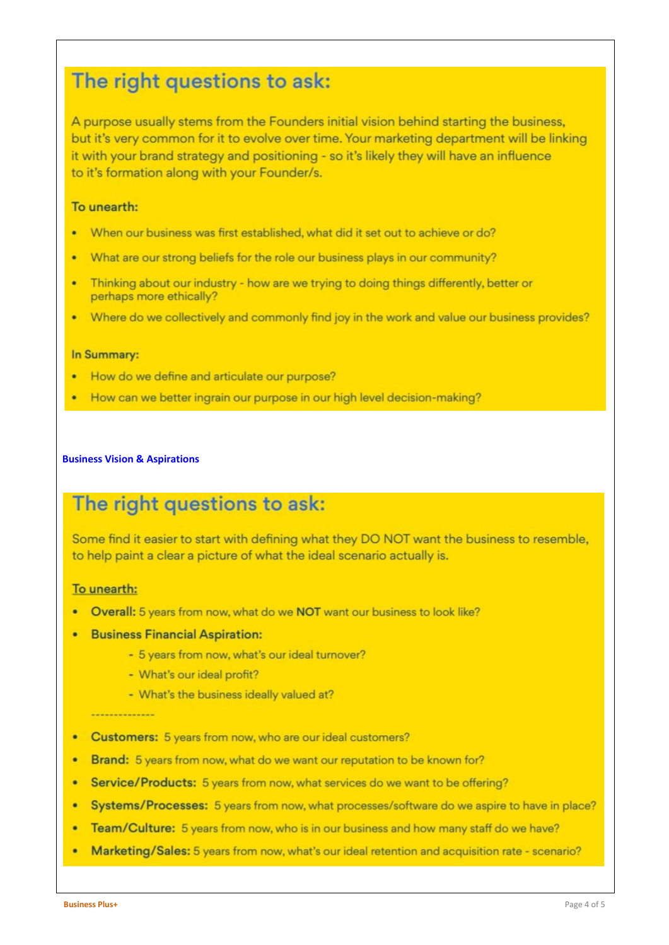# The right questions to ask:

A purpose usually stems from the Founders initial vision behind starting the business, but it's very common for it to evolve over time. Your marketing department will be linking it with your brand strategy and positioning - so it's likely they will have an influence to it's formation along with your Founder/s.

# To unearth:

- When our business was first established, what did it set out to achieve or do? ä
- What are our strong beliefs for the role our business plays in our community?
- Thinking about our industry how are we trying to doing things differently, better or perhaps more ethically?
- . Where do we collectively and commonly find joy in the work and value our business provides?

# In Summary:

- . How do we define and articulate our purpose?
- How can we better ingrain our purpose in our high level decision-making?

### **Business Vision & Aspirations**

# The right questions to ask:

Some find it easier to start with defining what they DO NOT want the business to resemble, to help paint a clear a picture of what the ideal scenario actually is.

# To unearth:

- Overall: 5 years from now, what do we NOT want our business to look like?
- Business Financial Aspiration:
	- 5 years from now, what's our ideal turnover?
	- What's our ideal profit?
	- What's the business ideally valued at?

#### **Andrew Communication**

- **Customers:** 5 years from now, who are our ideal customers? ٠
- Brand: 5 years from now, what do we want our reputation to be known for?
- $\bullet$ Service/Products: 5 years from now, what services do we want to be offering?
- Systems/Processes: 5 years from now, what processes/software do we aspire to have in place? ٠
- Team/Culture: 5 years from now, who is in our business and how many staff do we have? ٠
- Marketing/Sales: 5 years from now, what's our ideal retention and acquisition rate scenario?